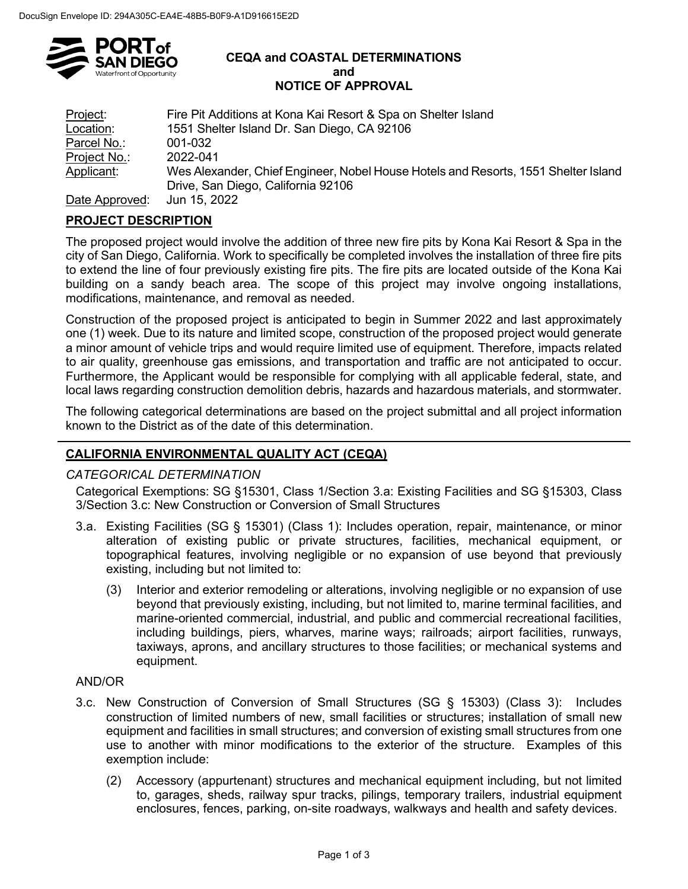

#### **CEQA and COASTAL DETERMINATIONS and NOTICE OF APPROVAL**

| Project:       | Fire Pit Additions at Kona Kai Resort & Spa on Shelter Island                      |
|----------------|------------------------------------------------------------------------------------|
| Location:      | 1551 Shelter Island Dr. San Diego, CA 92106                                        |
| Parcel No.:    | 001-032                                                                            |
| Project No.:   | 2022-041                                                                           |
| Applicant:     | Wes Alexander, Chief Engineer, Nobel House Hotels and Resorts, 1551 Shelter Island |
|                | Drive, San Diego, California 92106                                                 |
| Data Annuausal | $1.1.4E$ 0000                                                                      |

Date Approved: Jun 15, 2022

# **PROJECT DESCRIPTION**

The proposed project would involve the addition of three new fire pits by Kona Kai Resort & Spa in the city of San Diego, California. Work to specifically be completed involves the installation of three fire pits to extend the line of four previously existing fire pits. The fire pits are located outside of the Kona Kai building on a sandy beach area. The scope of this project may involve ongoing installations, modifications, maintenance, and removal as needed.

Construction of the proposed project is anticipated to begin in Summer 2022 and last approximately one (1) week. Due to its nature and limited scope, construction of the proposed project would generate a minor amount of vehicle trips and would require limited use of equipment. Therefore, impacts related to air quality, greenhouse gas emissions, and transportation and traffic are not anticipated to occur. Furthermore, the Applicant would be responsible for complying with all applicable federal, state, and local laws regarding construction demolition debris, hazards and hazardous materials, and stormwater.

The following categorical determinations are based on the project submittal and all project information known to the District as of the date of this determination.

# **CALIFORNIA ENVIRONMENTAL QUALITY ACT (CEQA)**

### *CATEGORICAL DETERMINATION*

Categorical Exemptions: SG §15301, Class 1/Section 3.a: Existing Facilities and SG §15303, Class 3/Section 3.c: New Construction or Conversion of Small Structures

- 3.a. Existing Facilities (SG § 15301) (Class 1): Includes operation, repair, maintenance, or minor alteration of existing public or private structures, facilities, mechanical equipment, or topographical features, involving negligible or no expansion of use beyond that previously existing, including but not limited to:
	- (3) Interior and exterior remodeling or alterations, involving negligible or no expansion of use beyond that previously existing, including, but not limited to, marine terminal facilities, and marine-oriented commercial, industrial, and public and commercial recreational facilities, including buildings, piers, wharves, marine ways; railroads; airport facilities, runways, taxiways, aprons, and ancillary structures to those facilities; or mechanical systems and equipment.

### AND/OR

- 3.c. New Construction of Conversion of Small Structures (SG § 15303) (Class 3): Includes construction of limited numbers of new, small facilities or structures; installation of small new equipment and facilities in small structures; and conversion of existing small structures from one use to another with minor modifications to the exterior of the structure. Examples of this exemption include:
	- (2) Accessory (appurtenant) structures and mechanical equipment including, but not limited to, garages, sheds, railway spur tracks, pilings, temporary trailers, industrial equipment enclosures, fences, parking, on-site roadways, walkways and health and safety devices.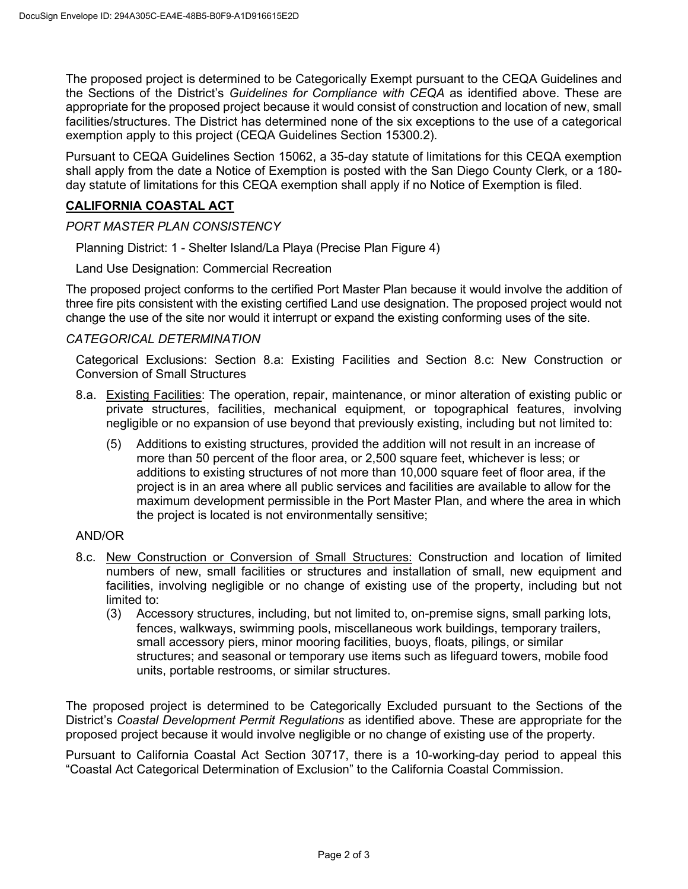The proposed project is determined to be Categorically Exempt pursuant to the CEQA Guidelines and the Sections of the District's *Guidelines for Compliance with CEQA* as identified above. These are appropriate for the proposed project because it would consist of construction and location of new, small facilities/structures. The District has determined none of the six exceptions to the use of a categorical exemption apply to this project (CEQA Guidelines Section 15300.2).

Pursuant to CEQA Guidelines Section 15062, a 35-day statute of limitations for this CEQA exemption shall apply from the date a Notice of Exemption is posted with the San Diego County Clerk, or a 180 day statute of limitations for this CEQA exemption shall apply if no Notice of Exemption is filed.

# **CALIFORNIA COASTAL ACT**

## *PORT MASTER PLAN CONSISTENCY*

Planning District: 1 - Shelter Island/La Playa (Precise Plan Figure 4)

Land Use Designation: Commercial Recreation

The proposed project conforms to the certified Port Master Plan because it would involve the addition of three fire pits consistent with the existing certified Land use designation. The proposed project would not change the use of the site nor would it interrupt or expand the existing conforming uses of the site.

## *CATEGORICAL DETERMINATION*

Categorical Exclusions: Section 8.a: Existing Facilities and Section 8.c: New Construction or Conversion of Small Structures

- 8.a. Existing Facilities: The operation, repair, maintenance, or minor alteration of existing public or private structures, facilities, mechanical equipment, or topographical features, involving negligible or no expansion of use beyond that previously existing, including but not limited to:
	- (5) Additions to existing structures, provided the addition will not result in an increase of more than 50 percent of the floor area, or 2,500 square feet, whichever is less; or additions to existing structures of not more than 10,000 square feet of floor area, if the project is in an area where all public services and facilities are available to allow for the maximum development permissible in the Port Master Plan, and where the area in which the project is located is not environmentally sensitive;

### AND/OR

- 8.c. New Construction or Conversion of Small Structures: Construction and location of limited numbers of new, small facilities or structures and installation of small, new equipment and facilities, involving negligible or no change of existing use of the property, including but not limited to:
	- (3) Accessory structures, including, but not limited to, on-premise signs, small parking lots, fences, walkways, swimming pools, miscellaneous work buildings, temporary trailers, small accessory piers, minor mooring facilities, buoys, floats, pilings, or similar structures; and seasonal or temporary use items such as lifeguard towers, mobile food units, portable restrooms, or similar structures.

The proposed project is determined to be Categorically Excluded pursuant to the Sections of the District's *Coastal Development Permit Regulations* as identified above. These are appropriate for the proposed project because it would involve negligible or no change of existing use of the property.

Pursuant to California Coastal Act Section 30717, there is a 10-working-day period to appeal this "Coastal Act Categorical Determination of Exclusion" to the California Coastal Commission.